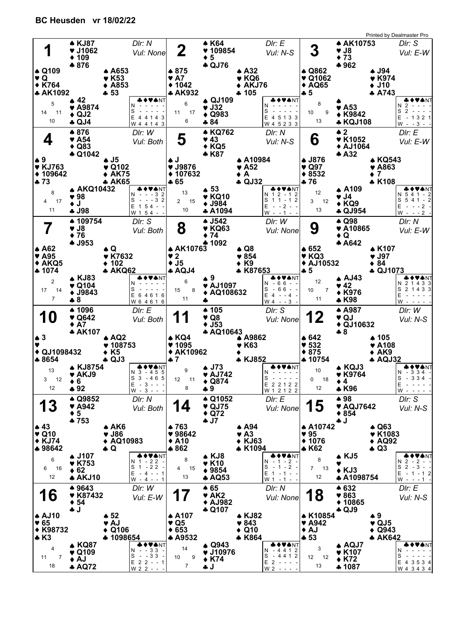